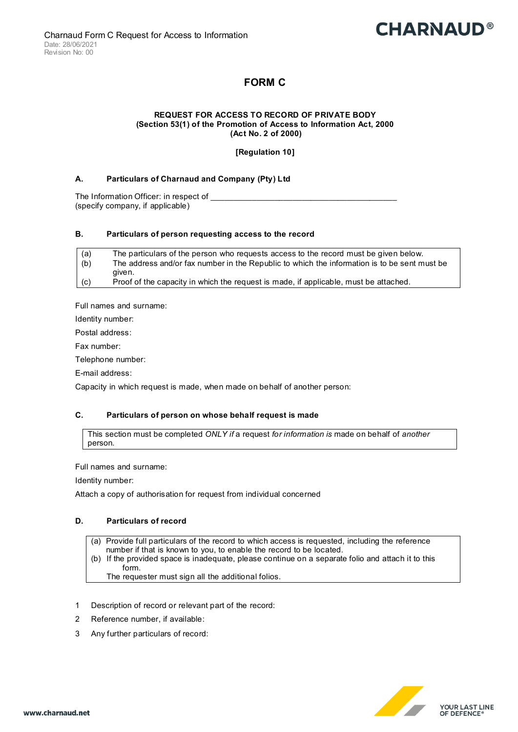# **CHARNAUD®**

# **FORM C**

#### **REQUEST FOR ACCESS TO RECORD OF PRIVATE BODY (Section 53(1) of the Promotion of Access to Information Act, 2000 (Act No. 2 of 2000)**

# **[Regulation 10]**

## **A. Particulars of Charnaud and Company (Pty) Ltd**

The Information Officer: in respect of (specify company, if applicable)

#### **B. Particulars of person requesting access to the record**

| (a) | The particulars of the person who requests access to the record must be given below.         |
|-----|----------------------------------------------------------------------------------------------|
| (b) | The address and/or fax number in the Republic to which the information is to be sent must be |
|     | aiven.                                                                                       |
| (c) | Proof of the capacity in which the request is made, if applicable, must be attached.         |

Full names and surname:

Identity number:

Postal address:

Fax number:

Telephone number:

E-mail address:

Capacity in which request is made, when made on behalf of another person:

### **C. Particulars of person on whose behalf request is made**

This section must be completed *ONLY if* a request *for information is* made on behalf of *another*  person.

Full names and surname:

Identity number:

Attach a copy of authorisation for request from individual concerned

### **D. Particulars of record**

- (a) Provide full particulars of the record to which access is requested, including the reference
- number if that is known to you, to enable the record to be located.
- (b) If the provided space is inadequate, please continue on a separate folio and attach it to this form.

The requester must sign all the additional folios.

- 1 Description of record or relevant part of the record:
- 2 Reference number, if available:
- 3 Any further particulars of record:

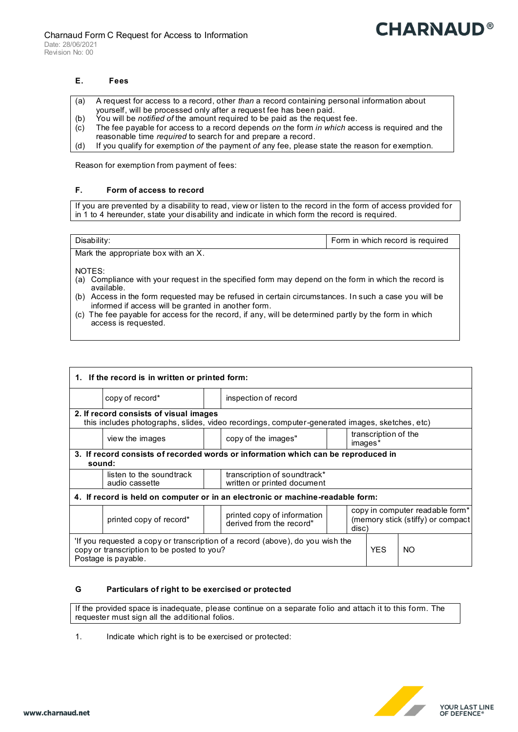#### **E. Fees**

- (a) A request for access to a record, other *than* a record containing personal information about
- yourself, will be processed only after a request fee has been paid. (b) You will be *notified of* the amount required to be paid as the request fee.
- (c) The fee payable for access to a record depends *on* the form *in which* access is required and the
- reasonable time *required* to search for and prepare a record.
- (d) If you qualify for exemption *of* the payment *of* any fee, please state the reason for exemption.

Reason for exemption from payment of fees:

### **F. Form of access to record**

If you are prevented by a disability to read, view or listen to the record in the form of access provided for in 1 to 4 hereunder, state your disability and indicate in which form the record is required.

| Disability:                         | Form in which record is required |
|-------------------------------------|----------------------------------|
| Mark the appropriate box with an X. |                                  |

NOTES:

- (a) Compliance with your request in the specified form may depend on the form in which the record is available.
- (b) Access in the form requested may be refused in certain circumstances. In such a case you will be informed if access will be granted in another form.
- (c) The fee payable for access for the record, if any, will be determined partly by the form in which access is requested.

| 1. If the record is in written or printed form:                                                                                                     |                                            |  |                                                             |  |                                                                               |            |     |  |  |  |
|-----------------------------------------------------------------------------------------------------------------------------------------------------|--------------------------------------------|--|-------------------------------------------------------------|--|-------------------------------------------------------------------------------|------------|-----|--|--|--|
|                                                                                                                                                     | copy of record*                            |  | inspection of record                                        |  |                                                                               |            |     |  |  |  |
| 2. If record consists of visual images<br>this includes photographs, slides, video recordings, computer-generated images, sketches, etc)            |                                            |  |                                                             |  |                                                                               |            |     |  |  |  |
|                                                                                                                                                     | view the images                            |  | transcription of the<br>copy of the images"<br>images*      |  |                                                                               |            |     |  |  |  |
| 3. If record consists of recorded words or information which can be reproduced in<br>sound:                                                         |                                            |  |                                                             |  |                                                                               |            |     |  |  |  |
|                                                                                                                                                     | listen to the soundtrack<br>audio cassette |  | transcription of soundtrack*<br>written or printed document |  |                                                                               |            |     |  |  |  |
| 4. If record is held on computer or in an electronic or machine-readable form:                                                                      |                                            |  |                                                             |  |                                                                               |            |     |  |  |  |
|                                                                                                                                                     | printed copy of record*                    |  | printed copy of information<br>derived from the record"     |  | copy in computer readable form*<br>(memory stick (stiffy) or compact<br>disc) |            |     |  |  |  |
| 'If you requested a copy or transcription of a record (above), do you wish the<br>copy or transcription to be posted to you?<br>Postage is payable. |                                            |  |                                                             |  |                                                                               | <b>YFS</b> | NO. |  |  |  |

### **G Particulars of right to be exercised or protected**

If the provided space is inadequate, please continue on a separate folio and attach it to this form. The requester must sign all the additional folios.

1. Indicate which right is to be exercised or protected: